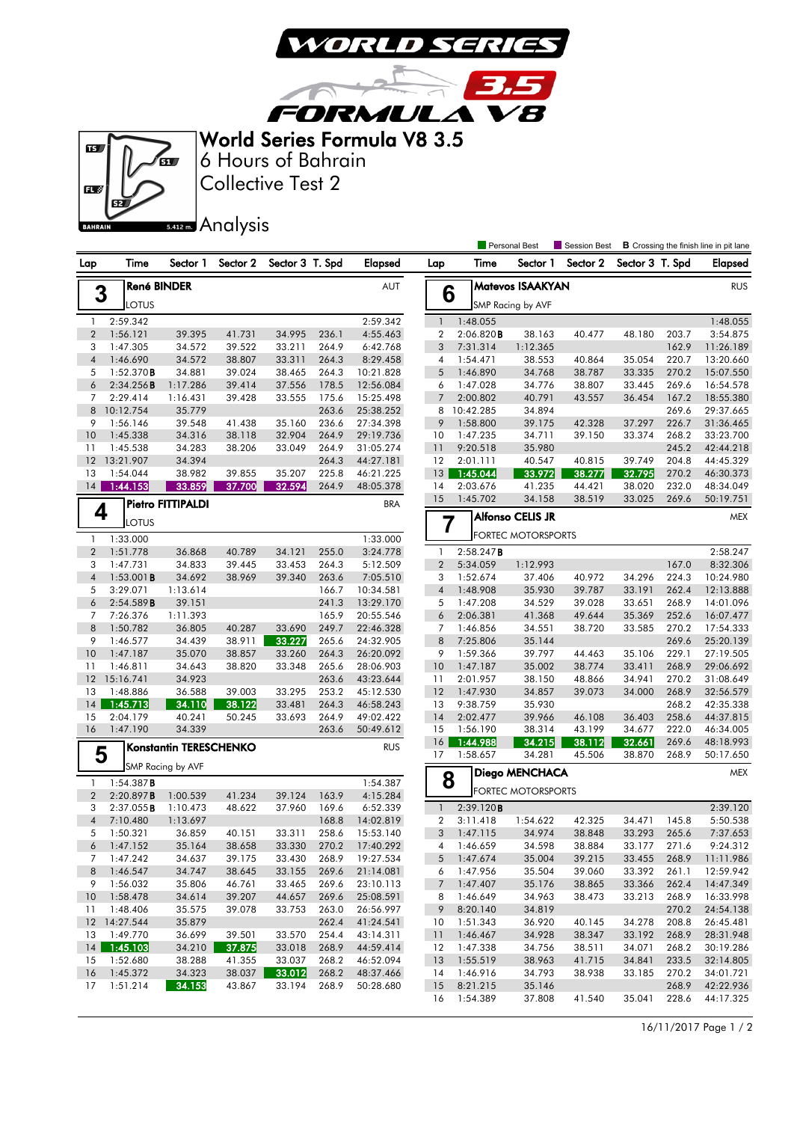

3.5

**FORMULA VB** World Series Formula V8 3.5

 $\overline{R}$ 



Collective Test 2 6 Hours of Bahrain

17 1:51.214 34.153 43.867 33.194 268.9 50:28.680

Analysis **Personal Rest** Session Best **B** Crossing the finish line in pit lane Lap Time Sector 1 Sector 2 Sector 3 T. Spd Elapsed Lap Time Sector 1 Sector 2 Sector 3 T. Spd Elapsed **Matevos ISAAKYAN** RUS **3** René BINDER<br>LOTUS **6** SMP Racing by AVF 1 2:59.342 2:59.342 1 1:48.055 1:48.055 2 2:06.820B 38.163 40.477 48.180 203.7 3:54.875 2 1:56.121 39.395 41.731 34.995 236.1 4:55.463 3 7:31.314 1:12.365 162.9 11:26.189 3 1:47.305 34.572 39.522 33.211 264.9 6:42.768 4 1:46.690 34.572 38.807 33.311 264.3 8:29.458 4 1:54.471 38.553 40.864 35.054 220.7 13:20.660 5 1:46.890 34.768 38.787 33.335 270.2 15:07.550 5 1:52.370B 34.881 39.024 38.465 264.3 10:21.828 6 2:34.256B 1:17.286 39.414 37.556 178.5 12:56.084 6 1:47.028 34.776 38.807 33.445 269.6 16:54.578 7 2:29.414 1:16.431 39.428 33.555 175.6 15:25.498 7 2:00.802 40.791 43.557 36.454 167.2 18:55.380 8 10:12.754 35.779 263.6 25:38.252 8 10:42.285 34.894 269.6 29:37.665 9 1:56.146 39.548 41.438 35.160 236.6 27:34.398 9 1:58.800 39.175 42.328 37.297 226.7 31:36.465 10 1:45.338 34.316 38.118 32.904 264.9 29:19.736 10 1:47.235 34.711 39.150 33.374 268.2 33:23.700 11 9:20.518 35.980 245.2 42:44.218 11 1:45.538 34.283 38.206 33.049 264.9 31:05.274 12 13:21.907 34.394 264.3 44:27.181 12 2:01.111 40.547 40.815 39.749 204.8 44:45.329 13 1:54.044 38.982 39.855 35.207 225.8 46:21.225 13 1:45.044 33.972 38.277 32.795 270.2 46:30.373 14 1:44.153 33.859 37.700 32.594 264.9 48:05.378 14 2:03.676 41.235 44.421 38.020 232.0 48:34.049 15 1:45.702 34.158 38.519 33.025 269.6 50:19.751 Pietro FITTIPALDI BRA  $4$   $\int_{\frac{1}{2} \text{ OTLIS}}^{\text{rierre}}$ Alfonso CELIS JR MEX **7 FORTEC MOTORSPORTS**  1 1:33.000 1:33.000 2 1:51.778 36.868 40.789 34.121 255.0 3:24.778 1 2:58.247**B** 2:58.247 2 5:34.059 1:12.993 167.0 8:32.306 3 1:47.731 34.833 39.445 33.453 264.3 5:12.509 4 1:53.001B 34.692 38.969 39.340 263.6 7:05.510 3 1:52.674 37.406 40.972 34.296 224.3 10:24.980 4 1:48.908 35.930 39.787 33.191 262.4 12:13.888 5 3:29.071 1:13.614 166.7 10:34.581 6 2:54.589B 39.151 241.3 13:29.170 5 1:47.208 34.529 39.028 33.651 268.9 14:01.096 6 2:06.381 41.368 49.644 35.369 252.6 16:07.477 7 7:26.376 1:11.393 165.9 20:55.546 8 1:50.782 36.805 40.287 33.690 249.7 22:46.328 7 1:46.856 34.551 38.720 33.585 270.2 17:54.333 9 1:46.577 34.439 38.911 33.227 265.6 24:32.905 8 7:25.806 35.144 269.6 25:20.139 10 1:47.187 35.070 38.857 33.260 264.3 26:20.092 9 1:59.366 39.797 44.463 35.106 229.1 27:19.505 11 1:46.811 34.643 38.820 33.348 265.6 28:06.903 10 1:47.187 35.002 38.774 33.411 268.9 29:06.692 12 15:16.741 34.923 263.6 43:23.644 11 2:01.957 38.150 48.866 34.941 270.2 31:08.649 13 1:48.886 36.588 39.003 33.295 253.2 45:12.530 12 1:47.930 34.857 39.073 34.000 268.9 32:56.579 14 1:45.713 34.110 38.122 33.481 264.3 46:58.243 13 9:38.759 35.930 268.2 42:35.338 14 2:02.477 39.966 46.108 36.403 258.6 44:37.815 15 2:04.179 40.241 50.245 33.693 264.9 49:02.422 16 1:47.190 34.339 263.6 50:49.612 15 1:56.190 38.314 43.199 34.677 222.0 46:34.005 16 1:44.988 34.215 38.112 32.661 269.6 48:18.993 Konstantin TERESCHENKO RUS **5** SMP Racing by AVF 17 1:58.657 34.281 45.506 38.870 268.9 50:17.650 **Diego MENCHACA** MEX **8 PUBLIC MOTORSPORTS** 1 1:54.387 **B** 1:54.387 2 2:20.897B 1:00.539 41.234 39.124 163.9 4:15.284 3 2:37.055B 1:10.473 48.622 37.960 169.6 6:52.339 1 2:39.120B 2:39.120 4 7:10.480 1:13.697 168.8 14:02.819 2 3:11.418 1:54.622 42.325 34.471 145.8 5:50.538 5 1:50.321 36.859 40.151 33.311 258.6 15:53.140 3 1:47.115 34.974 38.848 33.293 265.6 7:37.653 6 1:47.152 35.164 38.658 33.330 270.2 17:40.292 4 1:46.659 34.598 38.884 33.177 271.6 9:24.312 П 5 1:47.674 35.004 39.215 33.455 268.9 11:11.986 7 1:47.242 34.637 39.175 33.430 268.9 19:27.534 8 1:46.547 34.747 38.645 33.155 269.6 21:14.081 6 1:47.956 35.504 39.060 33.392 261.1 12:59.942 7 1:47.407 35.176 38.865 33.366 262.4 14:47.349 9 1:56.032 35.806 46.761 33.465 269.6 23:10.113 10 1:58.478 34.614 39.207 44.657 269.6 25:08.591 8 1:46.649 34.963 38.473 33.213 268.9 16:33.998 11 1:48.406 35.575 39.078 33.753 263.0 26:56.997 9 8:20.140 34.819 270.2 24:54.138 12 14:27.544 35.879 262.4 41:24.541 10 1:51.343 36.920 40.145 34.278 208.8 26:45.481 13 1:49.770 36.699 39.501 33.570 254.4 43:14.311 11 1:46.467 34.928 38.347 33.192 268.9 28:31.948 14 1:45.103 34.210 37.875 33.018 268.9 44:59.414 12 1:47.338 34.756 38.511 34.071 268.2 30:19.286 15 1:52.680 38.288 41.355 33.037 268.2 46:52.094 13 1:55.519 38.963 41.715 34.841 233.5 32:14.805 16 1:45.372 34.323 38.037 33.012 268.2 48:37.466 14 1:46.916 34.793 38.938 33.185 270.2 34:01.721

16/11/2017 Page 1 / 2

 15 8:21.215 35.146 268.9 42:22.936 16 1:54.389 37.808 41.540 35.041 228.6 44:17.325